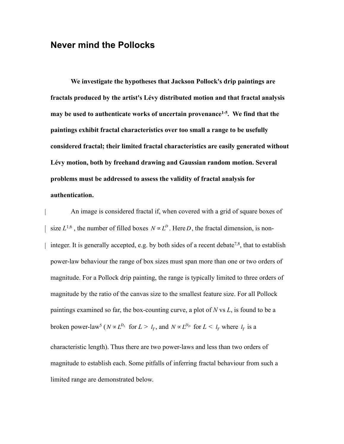## **Never mind the Pollocks**

**We investigate the hypotheses that Jackson Pollock's drip paintings are fractals produced by the artist's Lévy distributed motion and that fractal analysis may be used to authenticate works of uncertain provenance1-5. We find that the paintings exhibit fractal characteristics over too small a range to be usefully considered fractal; their limited fractal characteristics are easily generated without Lévy motion, both by freehand drawing and Gaussian random motion. Several problems must be addressed to assess the validity of fractal analysis for authentication.**

An image is considered fractal if, when covered with a grid of square boxes of size  $L^{1,6}$ , the number of filled boxes  $N \propto L^D$ . Here *D*, the fractal dimension, is noninteger. It is generally accepted, e.g. by both sides of a recent debate<sup>7,8</sup>, that to establish power-law behaviour the range of box sizes must span more than one or two orders of magnitude. For a Pollock drip painting, the range is typically limited to three orders of magnitude by the ratio of the canvas size to the smallest feature size. For all Pollock paintings examined so far, the box-counting curve, a plot of *N* vs *L*, is found to be a broken power-law<sup>5</sup> ( $N \propto L^{D_L}$  for  $L > l_T$ , and  $N \propto L^{D_D}$  for  $L < l_T$  where  $l_T$  is a characteristic length). Thus there are two power-laws and less than two orders of magnitude to establish each. Some pitfalls of inferring fractal behaviour from such a limited range are demonstrated below.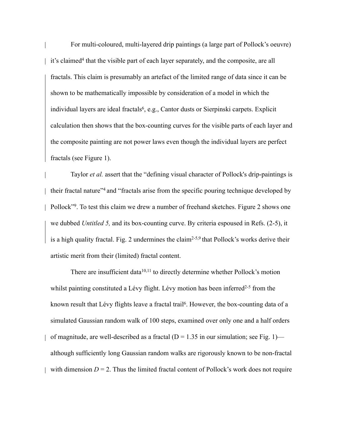For multi-coloured, multi-layered drip paintings (a large part of Pollock's oeuvre) it's claimed<sup>4</sup> that the visible part of each layer separately, and the composite, are all fractals. This claim is presumably an artefact of the limited range of data since it can be shown to be mathematically impossible by consideration of a model in which the individual layers are ideal fractals<sup>6</sup>, e.g., Cantor dusts or Sierpinski carpets. Explicit calculation then shows that the box-counting curves for the visible parts of each layer and the composite painting are not power laws even though the individual layers are perfect fractals (see Figure 1).

Taylor *et al.* assert that the "defining visual character of Pollock's drip-paintings is their fractal nature"4 and "fractals arise from the specific pouring technique developed by Pollock"9. To test this claim we drew a number of freehand sketches. Figure 2 shows one we dubbed *Untitled 5,* and its box-counting curve. By criteria espoused in Refs. (2-5), it is a high quality fractal. Fig. 2 undermines the claim2-5,9 that Pollock's works derive their artistic merit from their (limited) fractal content.

There are insufficient data<sup>10,11</sup> to directly determine whether Pollock's motion whilst painting constituted a Lévy flight. Lévy motion has been inferred<sup>2-5</sup> from the known result that Lévy flights leave a fractal trail<sup>6</sup>. However, the box-counting data of a simulated Gaussian random walk of 100 steps, examined over only one and a half orders of magnitude, are well-described as a fractal ( $D = 1.35$  in our simulation; see Fig. 1) although sufficiently long Gaussian random walks are rigorously known to be non-fractal with dimension  $D = 2$ . Thus the limited fractal content of Pollock's work does not require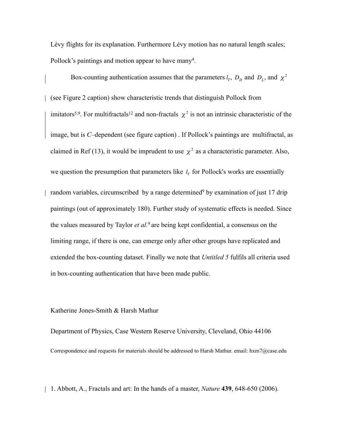Lévy flights for its explanation. Furthermore Lévy motion has no natural length scales; Pollock's paintings and motion appear to have many<sup>4</sup>.

Box-counting authentication assumes that the parameters  $l_T$ ,  $D_D$  and  $D_L$ , and  $\chi^2$ (see Figure 2 caption) show characteristic trends that distinguish Pollock from imitators<sup>5,9</sup>. For multifractals<sup>12</sup> and non-fractals  $\chi^2$  is not an intrinsic characteristic of the image, but is *C*–dependent (see figure caption) . If Pollock's paintings are multifractal, as claimed in Ref (13), it would be imprudent to use  $\chi^2$  as a characteristic parameter. Also, we question the presumption that parameters like  $l_T$  for Pollock's works are essentially

random variables, circumscribed by a range determined<sup>9</sup> by examination of just 17 drip paintings (out of approximately 180). Further study of systematic effects is needed. Since the values measured by Taylor *et al.*9 are being kept confidential, a consensus on the limiting range, if there is one, can emerge only after other groups have replicated and extended the box-counting dataset. Finally we note that *Untitled 5* fulfils all criteria used in box-counting authentication that have been made public.

## Katherine Jones-Smith & Harsh Mathur

Department of Physics, Case Western Reserve University, Cleveland, Ohio 44106 Correspondence and requests for materials should be addressed to Harsh Mathur. email: hxm7@case.edu

1. Abbott, A., Fractals and art: In the hands of a master, *Nature* **439**, 648-650 (2006).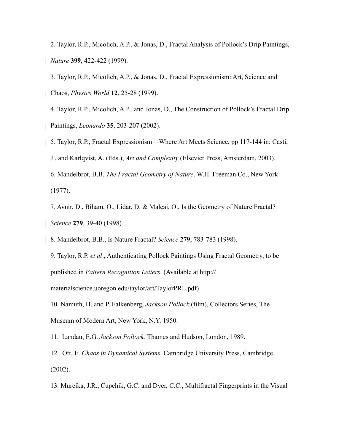2. Taylor, R.P., Micolich, A.P., & Jonas, D., Fractal Analysis of Pollock's Drip Paintings, *Nature* **399**, 422-422 (1999).

3. Taylor, R.P., Micolich, A.P., & Jonas, D., Fractal Expressionism: Art, Science and Chaos, *Physics World* **12**, 25-28 (1999).

4. Taylor, R.P., Micolich, A.P., and Jonas, D., The Construction of Pollock's Fractal Drip Paintings, *Leonardo* **35**, 203-207 (2002).

- 5. Taylor, R.P., Fractal Expressionism—Where Art Meets Science, pp 117-144 in: Casti, J., and Karlqvist, A. (Eds.), *Art and Complexity* (Elsevier Press, Amsterdam, 2003). 6. Mandelbrot, B.B. *The Fractal Geometry of Nature*. W.H. Freeman Co., New York (1977).
- 7. Avnir, D., Biham, O., Lidar, D. & Malcai, O., Is the Geometry of Nature Fractal? *Science* **279**, 39-40 (1998)
- 8. Mandelbrot, B.B., Is Nature Fractal? *Science* **279**, 783-783 (1998).

9. Taylor, R.P. *et al*., Authenticating Pollock Paintings Using Fractal Geometry, to be published in *Pattern Recognition Letters*. (Available at http://

materialscience.uoregon.edu/taylor/art/TaylorPRL.pdf)

10. Namuth, H. and P. Falkenberg, *Jackson Pollock* (film), Collectors Series, The Museum of Modern Art, New York, N.Y. 1950.

11. Landau, E.G. *Jackson Pollock.* Thames and Hudson, London, 1989.

12. Ott, E. *Chaos in Dynamical Systems*. Cambridge University Press, Cambridge (2002).

13. Mureika, J.R., Cupchik, G.C. and Dyer, C.C., Multifractal Fingerprints in the Visual